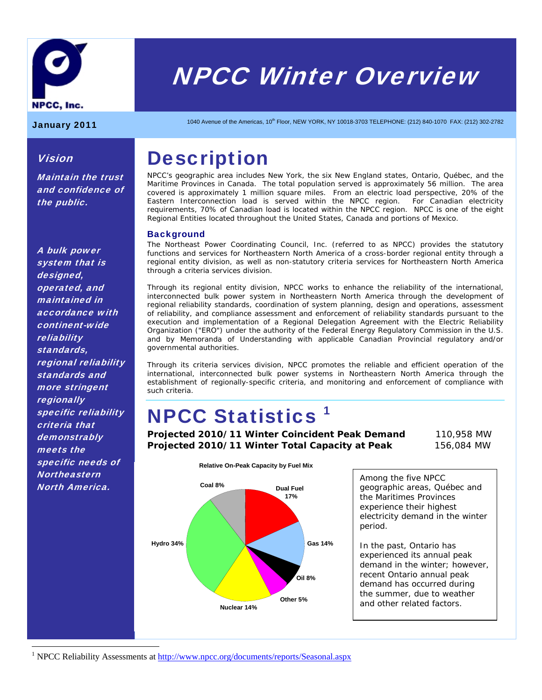

# NPCC Winter Overview

Vision

the public.

Maintain the trust and confidence of

January 2011 1040 Avenue of the Americas, 10<sup>th</sup> Floor, NEW YORK, NY 10018-3703 TELEPHONE: (212) 840-1070 FAX: (212) 302-2782

### **Description**

NPCC's geographic area includes New York, the six New England states, Ontario, Québec, and the Maritime Provinces in Canada. The total population served is approximately 56 million. The area covered is approximately 1 million square miles. From an electric load perspective, 20% of the Eastern Interconnection load is served within the NPCC region. For Canadian electricity requirements, 70% of Canadian load is located within the NPCC region. NPCC is one of the eight Regional Entities located throughout the United States, Canada and portions of Mexico.

### **Background**

The Northeast Power Coordinating Council, Inc. (referred to as NPCC) provides the statutory functions and services for Northeastern North America of a cross-border regional entity through a regional entity division, as well as non-statutory criteria services for Northeastern North America through a criteria services division.

Through its regional entity division, NPCC works to enhance the reliability of the international, interconnected bulk power system in Northeastern North America through the development of regional reliability standards, coordination of system planning, design and operations, assessment of reliability, and compliance assessment and enforcement of reliability standards pursuant to the execution and implementation of a Regional Delegation Agreement with the Electric Reliability Organization ("ERO") under the authority of the Federal Energy Regulatory Commission in the U.S. and by Memoranda of Understanding with applicable Canadian Provincial regulatory and/or governmental authorities.

Through its criteria services division, NPCC promotes the reliable and efficient operation of the international, interconnected bulk power systems in Northeastern North America through the establishment of regionally-specific criteria, and monitoring and enforcement of compliance with such criteria.

### NPCC Statistics 1

**Projected 2010/11 Winter Coincident Peak Demand** 110,958 MW **Projected 2010/11 Winter Total Capacity at Peak** 156,084 MW



Among the five NPCC geographic areas, Québec and the Maritimes Provinces experience their highest electricity demand in the winter period.

In the past, Ontario has experienced its annual peak demand in the winter; however, recent Ontario annual peak demand has occurred during the summer, due to weather and other related factors.

A bulk power system that is designed, operated, and maintained in accordance with continent-wide reliability standards, regional reliability standards and more stringent **regionally** specific reliability criteria that **demonstrably** meets the specific needs of **Northeastern** North America.

 $\overline{a}$